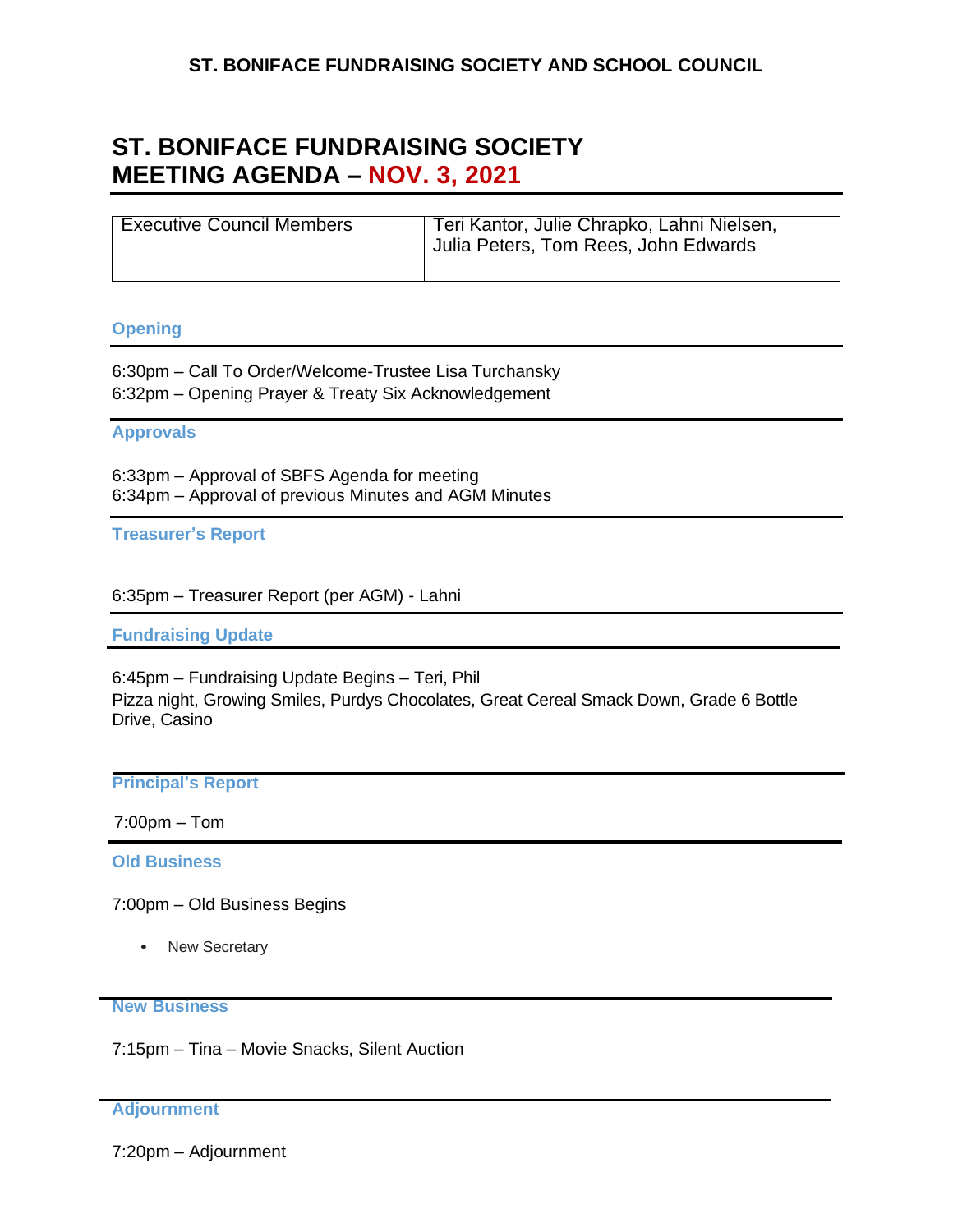# **ST. BONIFACE FUNDRAISING SOCIETY MEETING AGENDA – NOV. 3, 2021**

| <b>Executive Council Members</b> | Teri Kantor, Julie Chrapko, Lahni Nielsen,<br>Julia Peters, Tom Rees, John Edwards |
|----------------------------------|------------------------------------------------------------------------------------|
|                                  |                                                                                    |

## **Opening**

6:30pm – Call To Order/Welcome-Trustee Lisa Turchansky 6:32pm – Opening Prayer & Treaty Six Acknowledgement

## **Approvals**

6:33pm – Approval of SBFS Agenda for meeting 6:34pm – Approval of previous Minutes and AGM Minutes

**Treasurer's Report**

6:35pm – Treasurer Report (per AGM) - Lahni

**Fundraising Update**

6:45pm – Fundraising Update Begins – Teri, Phil Pizza night, Growing Smiles, Purdys Chocolates, Great Cereal Smack Down, Grade 6 Bottle Drive, Casino

## **Principal's Report**

7:00pm – Tom

**Old Business**

7:00pm – Old Business Begins

• New Secretary

#### **New Business**

7:15pm – Tina – Movie Snacks, Silent Auction

### **Adjournment**

7:20pm – Adjournment